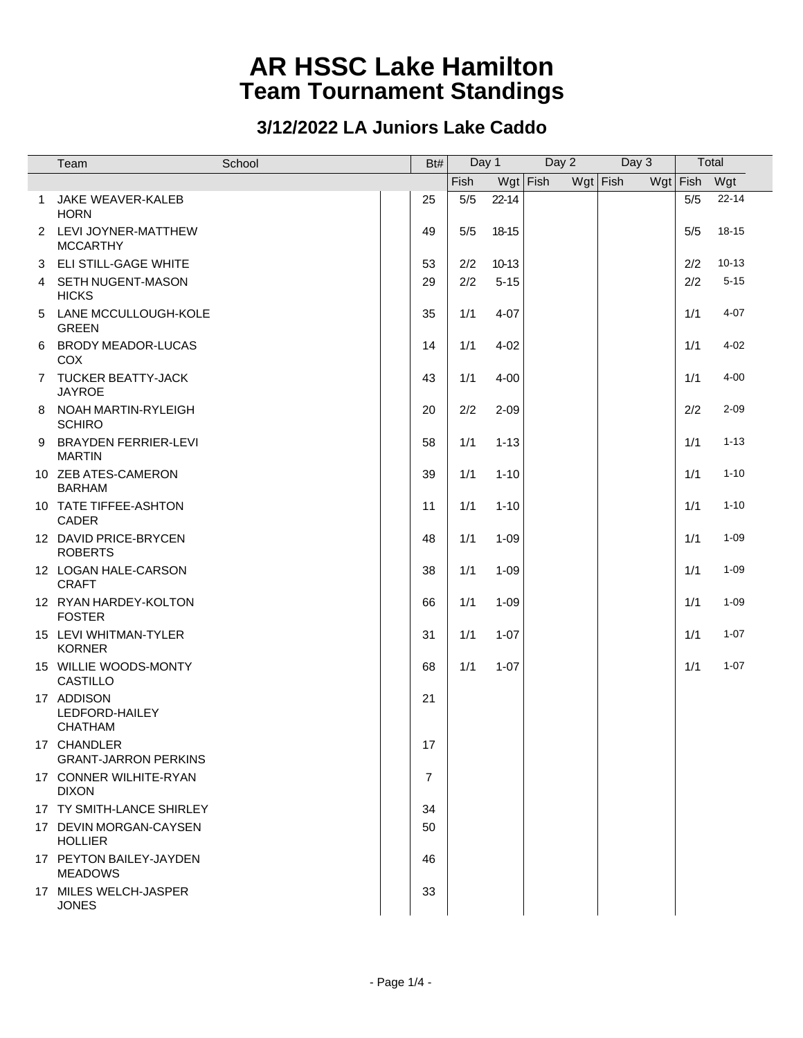|              | Team                                           | School | Bt# | Day 1 |           | Day 2      | Day 3      |              | Total     |  |
|--------------|------------------------------------------------|--------|-----|-------|-----------|------------|------------|--------------|-----------|--|
|              |                                                |        |     | Fish  |           | $Wgt$ Fish | $Wgt$ Fish | Wgt Fish Wgt |           |  |
| $\mathbf{1}$ | JAKE WEAVER-KALEB<br><b>HORN</b>               |        | 25  | 5/5   | $22 - 14$ |            |            | 5/5          | $22 - 14$ |  |
|              | 2 LEVI JOYNER-MATTHEW<br><b>MCCARTHY</b>       |        | 49  | 5/5   | 18-15     |            |            | 5/5          | 18-15     |  |
| 3            | <b>ELI STILL-GAGE WHITE</b>                    |        | 53  | 2/2   | $10 - 13$ |            |            | 2/2          | $10 - 13$ |  |
| 4            | SETH NUGENT-MASON<br><b>HICKS</b>              |        | 29  | 2/2   | $5 - 15$  |            |            | 2/2          | $5 - 15$  |  |
| 5            | LANE MCCULLOUGH-KOLE<br><b>GREEN</b>           |        | 35  | 1/1   | $4 - 07$  |            |            | 1/1          | $4 - 07$  |  |
| 6            | <b>BRODY MEADOR-LUCAS</b><br><b>COX</b>        |        | 14  | 1/1   | $4 - 02$  |            |            | 1/1          | $4 - 02$  |  |
|              | 7 TUCKER BEATTY-JACK<br><b>JAYROE</b>          |        | 43  | 1/1   | $4 - 00$  |            |            | 1/1          | $4 - 00$  |  |
|              | 8 NOAH MARTIN-RYLEIGH<br><b>SCHIRO</b>         |        | 20  | 2/2   | $2 - 09$  |            |            | 2/2          | $2 - 09$  |  |
|              | 9 BRAYDEN FERRIER-LEVI<br><b>MARTIN</b>        |        | 58  | 1/1   | $1 - 13$  |            |            | 1/1          | $1 - 13$  |  |
|              | 10 ZEB ATES-CAMERON<br><b>BARHAM</b>           |        | 39  | 1/1   | $1 - 10$  |            |            | 1/1          | $1 - 10$  |  |
|              | 10 TATE TIFFEE-ASHTON<br>CADER                 |        | 11  | 1/1   | $1 - 10$  |            |            | 1/1          | $1 - 10$  |  |
|              | 12 DAVID PRICE-BRYCEN<br><b>ROBERTS</b>        |        | 48  | 1/1   | $1 - 09$  |            |            | 1/1          | $1 - 09$  |  |
|              | 12 LOGAN HALE-CARSON<br><b>CRAFT</b>           |        | 38  | 1/1   | $1 - 09$  |            |            | 1/1          | $1 - 09$  |  |
|              | 12 RYAN HARDEY-KOLTON<br><b>FOSTER</b>         |        | 66  | 1/1   | $1 - 09$  |            |            | 1/1          | $1 - 09$  |  |
|              | 15 LEVI WHITMAN-TYLER<br><b>KORNER</b>         |        | 31  | 1/1   | $1 - 07$  |            |            | 1/1          | $1 - 07$  |  |
|              | 15 WILLIE WOODS-MONTY<br><b>CASTILLO</b>       |        | 68  | 1/1   | $1 - 07$  |            |            | 1/1          | $1 - 07$  |  |
|              | 17 ADDISON<br>LEDFORD-HAILEY<br><b>CHATHAM</b> |        | 21  |       |           |            |            |              |           |  |
|              | 17 CHANDLER<br><b>GRANT-JARRON PERKINS</b>     |        | 17  |       |           |            |            |              |           |  |
|              | 17 CONNER WILHITE-RYAN<br><b>DIXON</b>         |        | 7   |       |           |            |            |              |           |  |
|              | 17 TY SMITH-LANCE SHIRLEY                      |        | 34  |       |           |            |            |              |           |  |
|              | 17 DEVIN MORGAN-CAYSEN<br><b>HOLLIER</b>       |        | 50  |       |           |            |            |              |           |  |
|              | 17 PEYTON BAILEY-JAYDEN<br><b>MEADOWS</b>      |        | 46  |       |           |            |            |              |           |  |
|              | 17 MILES WELCH-JASPER<br><b>JONES</b>          |        | 33  |       |           |            |            |              |           |  |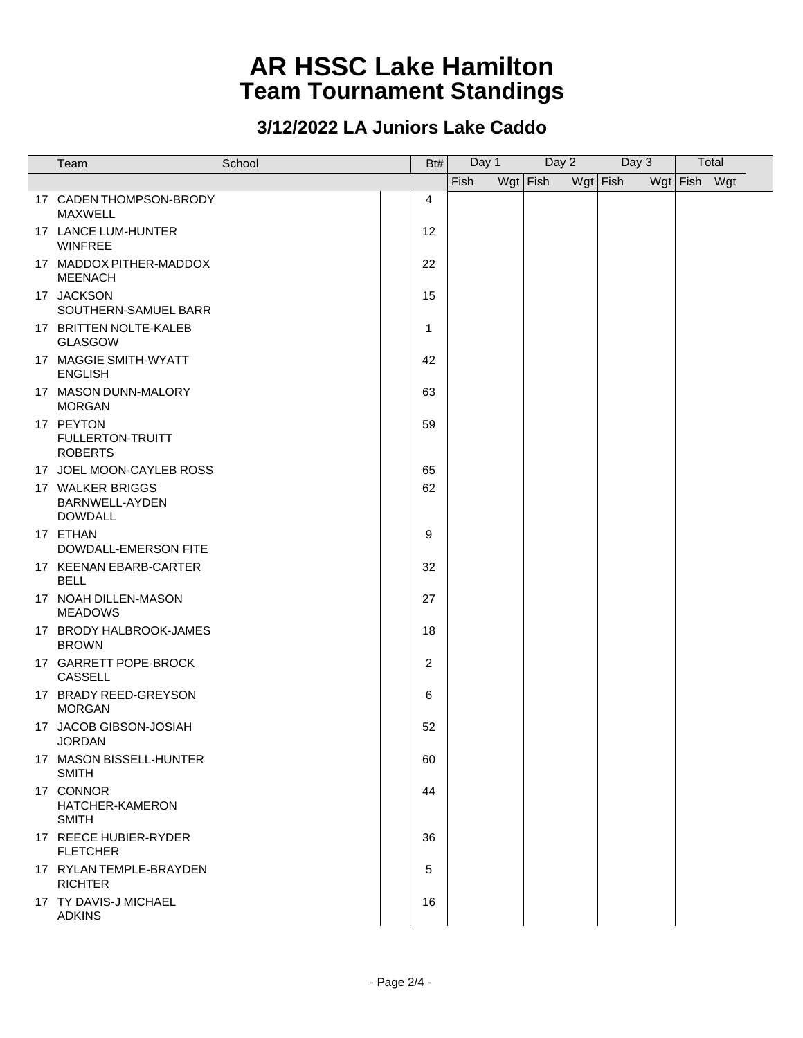| Team                                                 | School | Bt#            | Day 1 | Day 2      |            | Day 3 |              | Total |  |
|------------------------------------------------------|--------|----------------|-------|------------|------------|-------|--------------|-------|--|
|                                                      |        |                | Fish  | $Wgt$ Fish | $Wgt$ Fish |       | Wgt Fish Wgt |       |  |
| 17 CADEN THOMPSON-BRODY<br><b>MAXWELL</b>            |        | 4              |       |            |            |       |              |       |  |
| 17 LANCE LUM-HUNTER<br><b>WINFREE</b>                |        | 12             |       |            |            |       |              |       |  |
| 17 MADDOX PITHER-MADDOX<br><b>MEENACH</b>            |        | 22             |       |            |            |       |              |       |  |
| 17 JACKSON<br>SOUTHERN-SAMUEL BARR                   |        | 15             |       |            |            |       |              |       |  |
| 17 BRITTEN NOLTE-KALEB<br><b>GLASGOW</b>             |        | 1              |       |            |            |       |              |       |  |
| 17 MAGGIE SMITH-WYATT<br><b>ENGLISH</b>              |        | 42             |       |            |            |       |              |       |  |
| 17 MASON DUNN-MALORY<br><b>MORGAN</b>                |        | 63             |       |            |            |       |              |       |  |
| 17 PEYTON<br>FULLERTON-TRUITT<br><b>ROBERTS</b>      |        | 59             |       |            |            |       |              |       |  |
| 17 JOEL MOON-CAYLEB ROSS                             |        | 65             |       |            |            |       |              |       |  |
| 17 WALKER BRIGGS<br>BARNWELL-AYDEN<br><b>DOWDALL</b> |        | 62             |       |            |            |       |              |       |  |
| 17 ETHAN<br>DOWDALL-EMERSON FITE                     |        | 9              |       |            |            |       |              |       |  |
| 17 KEENAN EBARB-CARTER<br><b>BELL</b>                |        | 32             |       |            |            |       |              |       |  |
| 17 NOAH DILLEN-MASON<br><b>MEADOWS</b>               |        | 27             |       |            |            |       |              |       |  |
| 17 BRODY HALBROOK-JAMES<br><b>BROWN</b>              |        | 18             |       |            |            |       |              |       |  |
| 17 GARRETT POPE-BROCK<br><b>CASSELL</b>              |        | $\overline{c}$ |       |            |            |       |              |       |  |
| 17 BRADY REED-GREYSON<br><b>MORGAN</b>               |        | 6              |       |            |            |       |              |       |  |
| 17 JACOB GIBSON-JOSIAH<br><b>JORDAN</b>              |        | 52             |       |            |            |       |              |       |  |
| 17 MASON BISSELL-HUNTER<br><b>SMITH</b>              |        | 60             |       |            |            |       |              |       |  |
| 17 CONNOR<br>HATCHER-KAMERON<br><b>SMITH</b>         |        | 44             |       |            |            |       |              |       |  |
| 17 REECE HUBIER-RYDER<br><b>FLETCHER</b>             |        | 36             |       |            |            |       |              |       |  |
| 17 RYLAN TEMPLE-BRAYDEN<br><b>RICHTER</b>            |        | 5              |       |            |            |       |              |       |  |
| 17 TY DAVIS-J MICHAEL<br><b>ADKINS</b>               |        | 16             |       |            |            |       |              |       |  |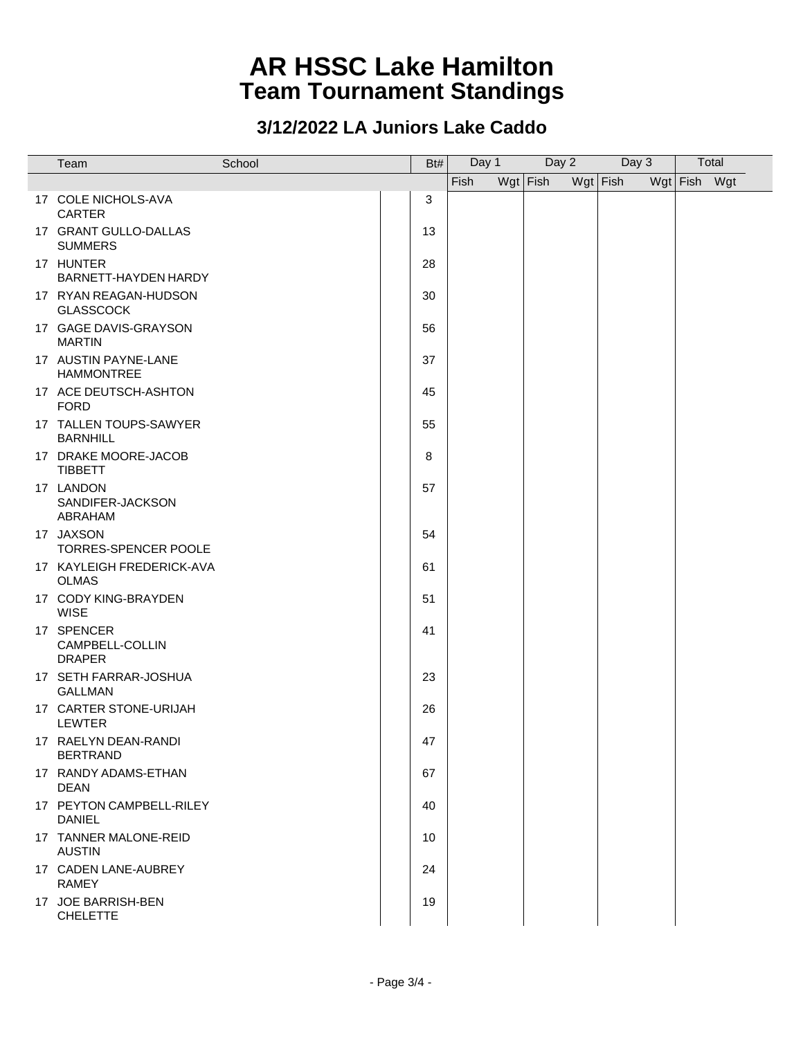| Team                                           | School | Bt# | Day 1 | Day 2      | Day 3      |              | Total |
|------------------------------------------------|--------|-----|-------|------------|------------|--------------|-------|
|                                                |        |     | Fish  | $Wgt$ Fish | $Wgt$ Fish | Wgt Fish Wgt |       |
| 17 COLE NICHOLS-AVA<br><b>CARTER</b>           |        | 3   |       |            |            |              |       |
| 17 GRANT GULLO-DALLAS<br><b>SUMMERS</b>        |        | 13  |       |            |            |              |       |
| 17 HUNTER<br>BARNETT-HAYDEN HARDY              |        | 28  |       |            |            |              |       |
| 17 RYAN REAGAN-HUDSON<br><b>GLASSCOCK</b>      |        | 30  |       |            |            |              |       |
| 17 GAGE DAVIS-GRAYSON<br><b>MARTIN</b>         |        | 56  |       |            |            |              |       |
| 17 AUSTIN PAYNE-LANE<br><b>HAMMONTREE</b>      |        | 37  |       |            |            |              |       |
| 17 ACE DEUTSCH-ASHTON<br><b>FORD</b>           |        | 45  |       |            |            |              |       |
| 17 TALLEN TOUPS-SAWYER<br><b>BARNHILL</b>      |        | 55  |       |            |            |              |       |
| 17 DRAKE MOORE-JACOB<br><b>TIBBETT</b>         |        | 8   |       |            |            |              |       |
| 17 LANDON<br>SANDIFER-JACKSON<br>ABRAHAM       |        | 57  |       |            |            |              |       |
| 17 JAXSON<br>TORRES-SPENCER POOLE              |        | 54  |       |            |            |              |       |
| 17 KAYLEIGH FREDERICK-AVA<br><b>OLMAS</b>      |        | 61  |       |            |            |              |       |
| 17 CODY KING-BRAYDEN<br><b>WISE</b>            |        | 51  |       |            |            |              |       |
| 17 SPENCER<br>CAMPBELL-COLLIN<br><b>DRAPER</b> |        | 41  |       |            |            |              |       |
| 17 SETH FARRAR-JOSHUA<br><b>GALLMAN</b>        |        | 23  |       |            |            |              |       |
| 17 CARTER STONE-URIJAH<br><b>LEWTER</b>        |        | 26  |       |            |            |              |       |
| 17 RAELYN DEAN-RANDI<br><b>BERTRAND</b>        |        | 47  |       |            |            |              |       |
| 17 RANDY ADAMS-ETHAN<br><b>DEAN</b>            |        | 67  |       |            |            |              |       |
| 17 PEYTON CAMPBELL-RILEY<br>DANIEL             |        | 40  |       |            |            |              |       |
| 17 TANNER MALONE-REID<br><b>AUSTIN</b>         |        | 10  |       |            |            |              |       |
| 17 CADEN LANE-AUBREY<br><b>RAMEY</b>           |        | 24  |       |            |            |              |       |
| 17 JOE BARRISH-BEN<br><b>CHELETTE</b>          |        | 19  |       |            |            |              |       |